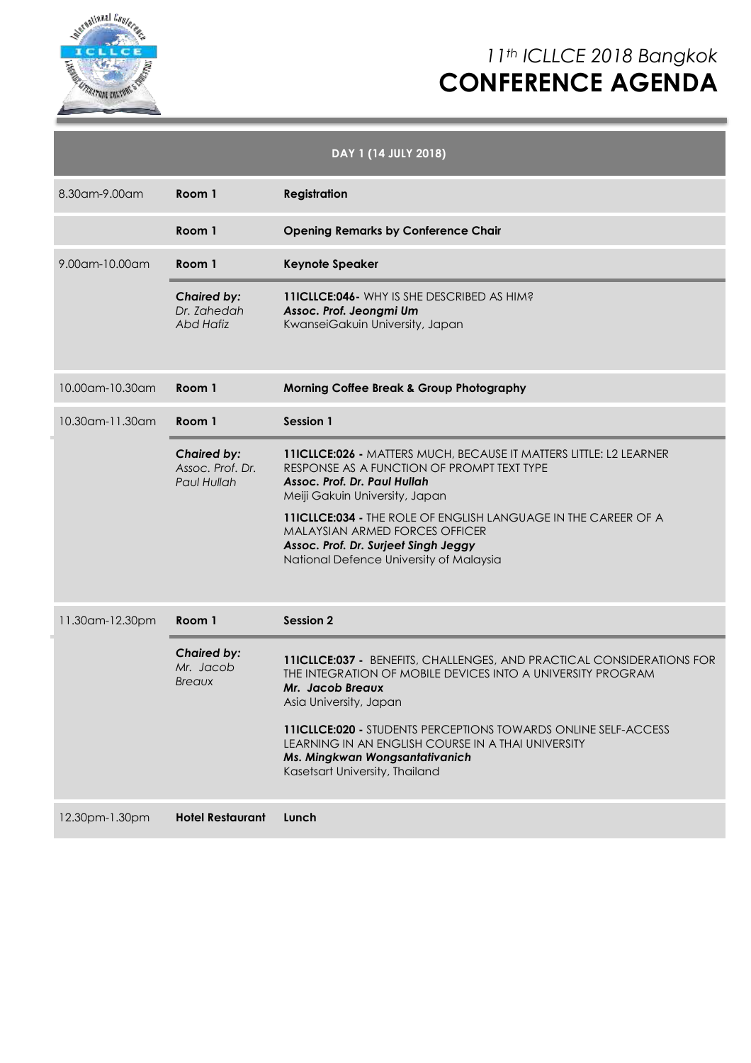

# *11th ICLLCE 2018 Bangkok* **CONFERENCE AGENDA**

| DAY 1 (14 JULY 2018) |                                                       |                                                                                                                                                                                                                                                                                                                                                                                       |  |  |  |
|----------------------|-------------------------------------------------------|---------------------------------------------------------------------------------------------------------------------------------------------------------------------------------------------------------------------------------------------------------------------------------------------------------------------------------------------------------------------------------------|--|--|--|
| 8.30am-9.00am        | Room 1                                                | <b>Registration</b>                                                                                                                                                                                                                                                                                                                                                                   |  |  |  |
|                      | Room 1                                                | <b>Opening Remarks by Conference Chair</b>                                                                                                                                                                                                                                                                                                                                            |  |  |  |
| 9.00am-10.00am       | Room 1                                                | <b>Keynote Speaker</b>                                                                                                                                                                                                                                                                                                                                                                |  |  |  |
|                      | <b>Chaired by:</b><br>Dr. Zahedah<br><b>Abd Hafiz</b> | 11ICLLCE:046 - WHY IS SHE DESCRIBED AS HIM?<br>Assoc. Prof. Jeongmi Um<br>KwanseiGakuin University, Japan                                                                                                                                                                                                                                                                             |  |  |  |
| 10.00am-10.30am      | Room 1                                                | <b>Morning Coffee Break &amp; Group Photography</b>                                                                                                                                                                                                                                                                                                                                   |  |  |  |
| 10.30am-11.30am      | Room 1                                                | <b>Session 1</b>                                                                                                                                                                                                                                                                                                                                                                      |  |  |  |
|                      | <b>Chaired by:</b><br>Assoc. Prof. Dr.<br>Paul Hullah | 11ICLLCE:026 - MATTERS MUCH, BECAUSE IT MATTERS LITTLE: L2 LEARNER<br>RESPONSE AS A FUNCTION OF PROMPT TEXT TYPE<br>Assoc. Prof. Dr. Paul Hullah<br>Meiji Gakuin University, Japan<br>11ICLLCE:034 - THE ROLE OF ENGLISH LANGUAGE IN THE CAREER OF A<br>MALAYSIAN ARMED FORCES OFFICER<br>Assoc. Prof. Dr. Surjeet Singh Jeggy<br>National Defence University of Malaysia             |  |  |  |
| 11.30am-12.30pm      | Room 1                                                | <b>Session 2</b>                                                                                                                                                                                                                                                                                                                                                                      |  |  |  |
|                      | <b>Chaired by:</b><br>Mr. Jacob<br>Breaux             | 11ICLLCE:037 - BENEFITS, CHALLENGES, AND PRACTICAL CONSIDERATIONS FOR<br>THE INTEGRATION OF MOBILE DEVICES INTO A UNIVERSITY PROGRAM<br>Mr. Jacob Breaux<br>Asia University, Japan<br><b>11ICLLCE:020 - STUDENTS PERCEPTIONS TOWARDS ONLINE SELF-ACCESS</b><br>LEARNING IN AN ENGLISH COURSE IN A THAI UNIVERSITY<br>Ms. Mingkwan Wongsantativanich<br>Kasetsart University, Thailand |  |  |  |
| 12.30pm-1.30pm       | <b>Hotel Restaurant</b>                               | Lunch                                                                                                                                                                                                                                                                                                                                                                                 |  |  |  |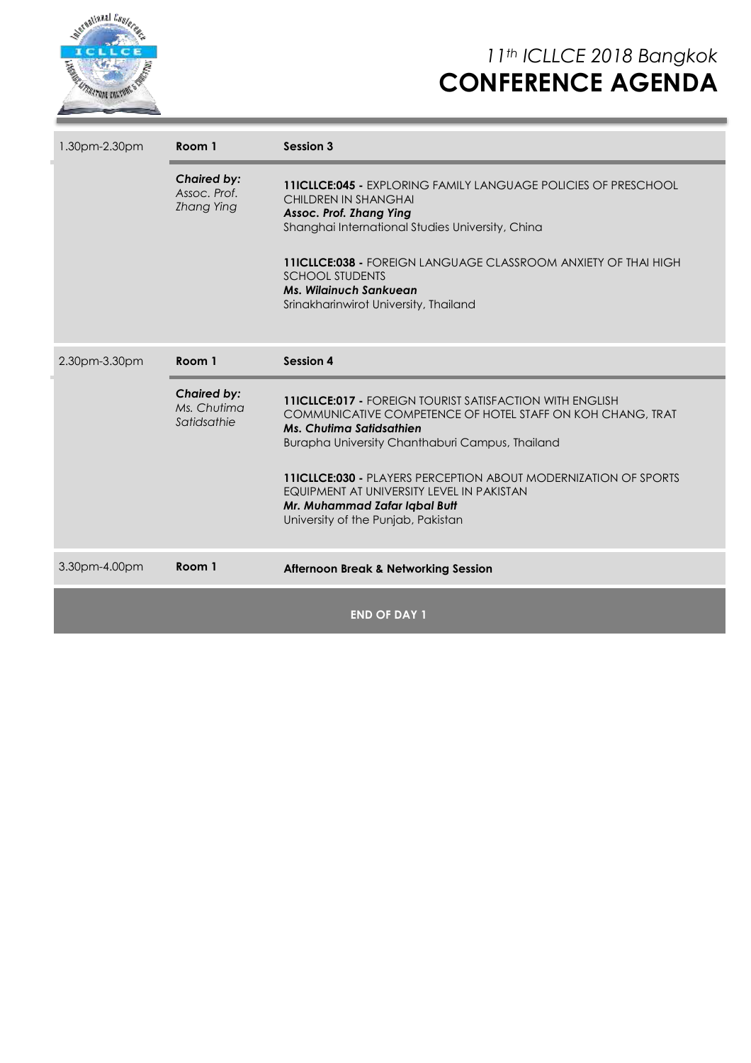

*11th ICLLCE 2018 Bangkok* **CONFERENCE AGENDA**

| 1.30pm-2.30pm       | Room 1                                                  | Session 3                                                                                                                                                                                                                                                                                                                                                                                                         |  |  |
|---------------------|---------------------------------------------------------|-------------------------------------------------------------------------------------------------------------------------------------------------------------------------------------------------------------------------------------------------------------------------------------------------------------------------------------------------------------------------------------------------------------------|--|--|
|                     | <b>Chaired by:</b><br>Assoc. Prof.<br><b>Zhang Ying</b> | <b>11ICLLCE:045 - EXPLORING FAMILY LANGUAGE POLICIES OF PRESCHOOL</b><br><b>CHILDREN IN SHANGHAI</b><br>Assoc. Prof. Zhang Ying<br>Shanghai International Studies University, China<br><b>11ICLLCE:038 - FOREIGN LANGUAGE CLASSROOM ANXIETY OF THAI HIGH</b><br><b>SCHOOL STUDENTS</b><br><b>Ms. Wilginuch Sankuean</b><br>Srinakharinwirot University, Thailand                                                  |  |  |
| 2.30pm-3.30pm       | <b>Session 4</b><br>Room 1                              |                                                                                                                                                                                                                                                                                                                                                                                                                   |  |  |
|                     | <b>Chaired by:</b><br>Ms. Chutima<br>Satidsathie        | <b>11ICLLCE:017 - FOREIGN TOURIST SATISFACTION WITH ENGLISH</b><br>COMMUNICATIVE COMPETENCE OF HOTEL STAFF ON KOH CHANG, TRAT<br><b>Ms. Chutima Satidsathien</b><br>Burapha University Chanthaburi Campus, Thailand<br><b>11ICLLCE:030 - PLAYERS PERCEPTION ABOUT MODERNIZATION OF SPORTS</b><br>EQUIPMENT AT UNIVERSITY LEVEL IN PAKISTAN<br>Mr. Muhammad Zafar Iqbal Butt<br>University of the Punjab, Pakistan |  |  |
| 3.30pm-4.00pm       | Room 1                                                  | <b>Afternoon Break &amp; Networking Session</b>                                                                                                                                                                                                                                                                                                                                                                   |  |  |
| <b>END OF DAY 1</b> |                                                         |                                                                                                                                                                                                                                                                                                                                                                                                                   |  |  |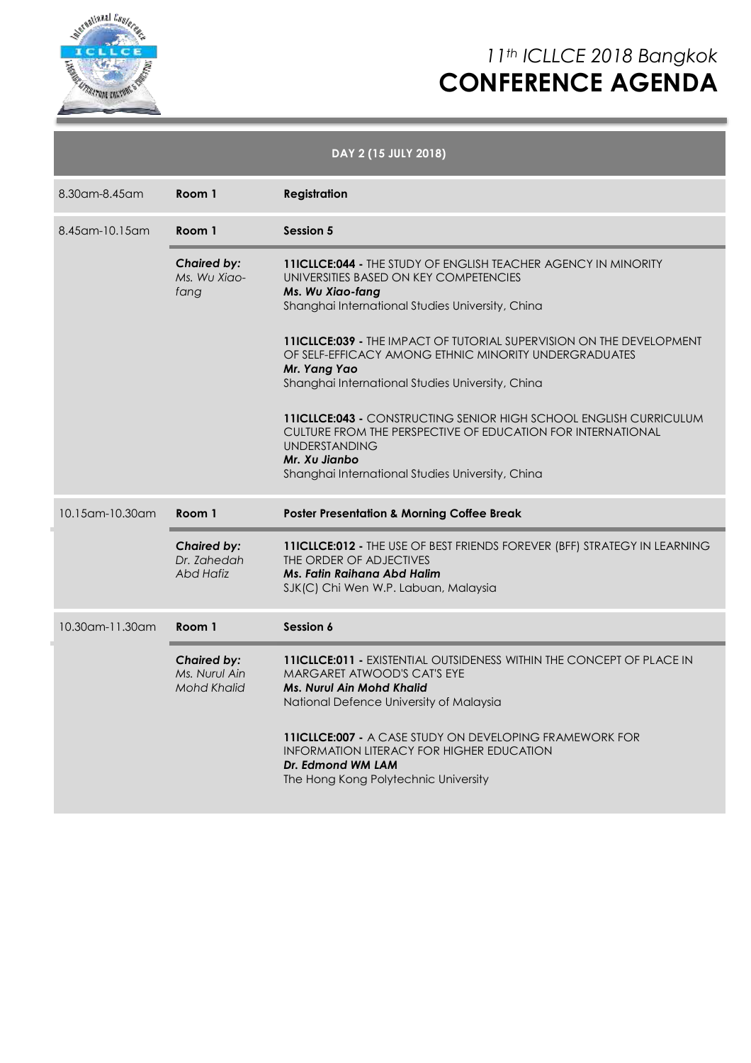

## *11th ICLLCE 2018 Bangkok* **CONFERENCE AGENDA**

| DAY 2 (15 JULY 2018) |                                                           |                                                                                                                                                                                                                               |  |  |
|----------------------|-----------------------------------------------------------|-------------------------------------------------------------------------------------------------------------------------------------------------------------------------------------------------------------------------------|--|--|
| 8.30am-8.45am        | Room 1                                                    | <b>Registration</b>                                                                                                                                                                                                           |  |  |
| 8.45 am - 10.15 am   | Room 1                                                    | <b>Session 5</b>                                                                                                                                                                                                              |  |  |
|                      | <b>Chaired by:</b><br>Ms. Wu Xiao-<br>fang                | <b>11ICLLCE:044 - THE STUDY OF ENGLISH TEACHER AGENCY IN MINORITY</b><br>UNIVERSITIES BASED ON KEY COMPETENCIES<br>Ms. Wu Xiao-fang<br>Shanghai International Studies University, China                                       |  |  |
|                      |                                                           | <b>11ICLLCE:039 - THE IMPACT OF TUTORIAL SUPERVISION ON THE DEVELOPMENT</b><br>OF SELF-EFFICACY AMONG ETHNIC MINORITY UNDERGRADUATES<br>Mr. Yang Yao<br>Shanghai International Studies University, China                      |  |  |
|                      |                                                           | 11ICLLCE:043 - CONSTRUCTING SENIOR HIGH SCHOOL ENGLISH CURRICULUM<br>CULTURE FROM THE PERSPECTIVE OF EDUCATION FOR INTERNATIONAL<br><b>UNDERSTANDING</b><br>Mr. Xu Jianbo<br>Shanghai International Studies University, China |  |  |
| 10.15 am - 10.30 am  | Room 1                                                    | <b>Poster Presentation &amp; Morning Coffee Break</b>                                                                                                                                                                         |  |  |
|                      | <b>Chaired by:</b><br>Dr. Zahedah<br><b>Abd Hafiz</b>     | 11ICLLCE:012 - THE USE OF BEST FRIENDS FOREVER (BFF) STRATEGY IN LEARNING<br>THE ORDER OF ADJECTIVES<br>Ms. Fatin Raihana Abd Halim<br>SJK(C) Chi Wen W.P. Labuan, Malaysia                                                   |  |  |
| 10.30am-11.30am      | Room 1                                                    | Session 6                                                                                                                                                                                                                     |  |  |
|                      | <b>Chaired by:</b><br>Ms. Nurul Ain<br><b>Mohd Khalid</b> | <b>11ICLLCE:011 - EXISTENTIAL OUTSIDENESS WITHIN THE CONCEPT OF PLACE IN</b><br>MARGARET ATWOOD'S CAT'S EYE<br><b>Ms. Nurul Ain Mohd Khalid</b><br>National Defence University of Malaysia                                    |  |  |
|                      |                                                           | <b>11ICLLCE:007 - A CASE STUDY ON DEVELOPING FRAMEWORK FOR</b><br><b>INFORMATION LITERACY FOR HIGHER EDUCATION</b><br>Dr. Edmond WM LAM<br>The Hong Kong Polytechnic University                                               |  |  |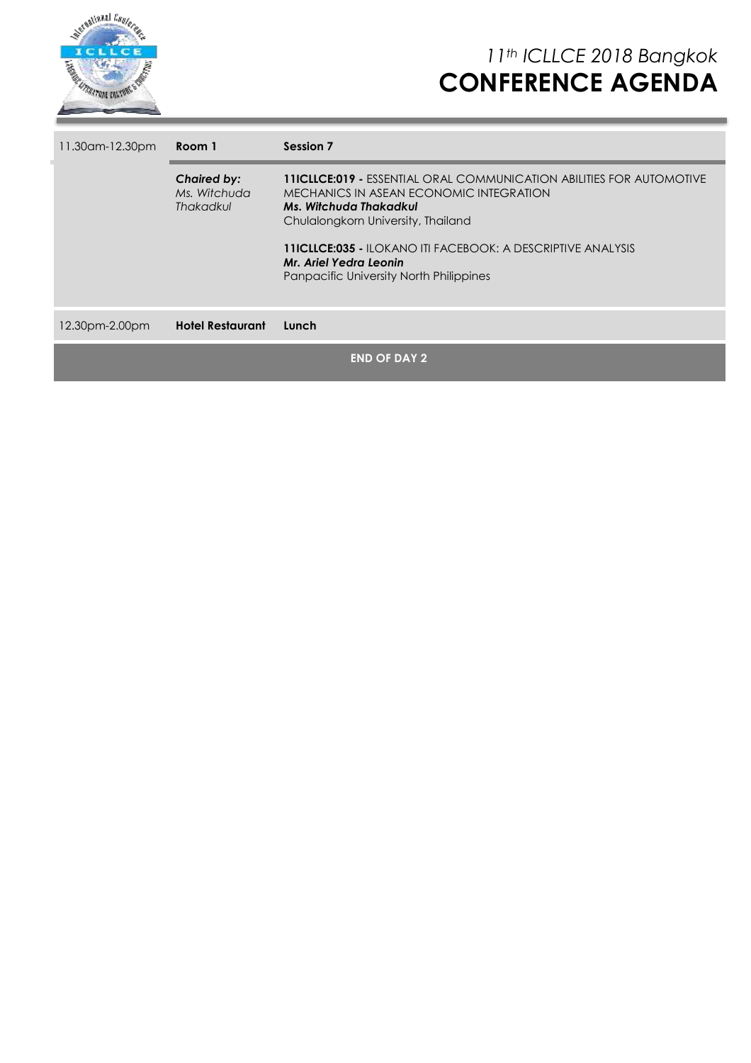

| 11.30 am - 12.30 pm | Room 1                                                 | Session 7                                                                                                                                                                                                                                                                                                                                |  |
|---------------------|--------------------------------------------------------|------------------------------------------------------------------------------------------------------------------------------------------------------------------------------------------------------------------------------------------------------------------------------------------------------------------------------------------|--|
|                     | <b>Chaired by:</b><br>Ms. Witchuda<br><b>Thakadkul</b> | <b>11ICLLCE:019 -</b> ESSENTIAL ORAL COMMUNICATION ABILITIES FOR AUTOMOTIVE<br>MECHANICS IN ASEAN ECONOMIC INTEGRATION<br>Ms. Witchuda Thakadkul<br>Chulalongkorn University, Thailand<br><b>11ICLLCE:035 - ILOKANO ITI FACEBOOK: A DESCRIPTIVE ANALYSIS</b><br>Mr. Ariel Yedra Leonin<br><b>Panpacific University North Philippines</b> |  |
| 12.30pm-2.00pm      | <b>Hotel Restaurant</b>                                | Lunch                                                                                                                                                                                                                                                                                                                                    |  |
|                     |                                                        | <b>END OF DAY 2</b>                                                                                                                                                                                                                                                                                                                      |  |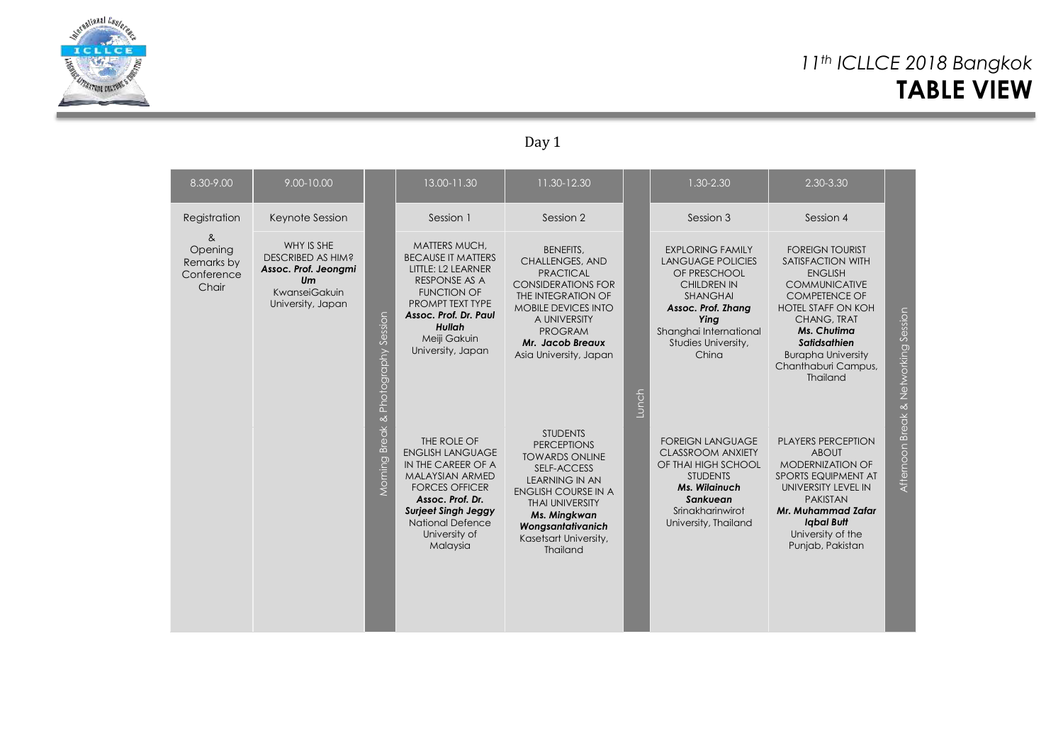

### *11th ICLLCE 2018 Bangkok* **TABLE VIEW**

### Day 1

| $8.30 - 9.00$                                     | 9.00-10.00                                                                                          |                                        | 13.00-11.30                                                                                                                                                                                                               | 11.30-12.30                                                                                                                                                                                                                                     |                    | 1.30-2.30                                                                                                                                                                                            | 2.30-3.30                                                                                                                                                                                                                                                                     |                                      |
|---------------------------------------------------|-----------------------------------------------------------------------------------------------------|----------------------------------------|---------------------------------------------------------------------------------------------------------------------------------------------------------------------------------------------------------------------------|-------------------------------------------------------------------------------------------------------------------------------------------------------------------------------------------------------------------------------------------------|--------------------|------------------------------------------------------------------------------------------------------------------------------------------------------------------------------------------------------|-------------------------------------------------------------------------------------------------------------------------------------------------------------------------------------------------------------------------------------------------------------------------------|--------------------------------------|
| Registration                                      | Keynote Session                                                                                     |                                        | Session 1                                                                                                                                                                                                                 | Session 2                                                                                                                                                                                                                                       |                    | Session 3                                                                                                                                                                                            | Session 4                                                                                                                                                                                                                                                                     |                                      |
| &<br>Opening<br>Remarks by<br>Conference<br>Chair | WHY IS SHE<br>DESCRIBED AS HIM?<br>Assoc. Prof. Jeongmi<br>Um<br>KwanseiGakuin<br>University, Japan | Photography Session<br>Morning Break & | MATTERS MUCH,<br><b>BECAUSE IT MATTERS</b><br>LITTLE: L2 LEARNER<br>RESPONSE AS A<br><b>FUNCTION OF</b><br>PROMPT TEXT TYPE<br>Assoc. Prof. Dr. Paul<br>Hullah<br>Meiji Gakuin<br>University, Japan                       | <b>BENEFITS.</b><br>CHALLENGES, AND<br><b>PRACTICAL</b><br><b>CONSIDERATIONS FOR</b><br>THE INTEGRATION OF<br><b>MOBILE DEVICES INTO</b><br>A UNIVERSITY<br><b>PROGRAM</b><br>Mr. Jacob Breaux<br>Asia University, Japan                        | Lunch <sup>1</sup> | <b>EXPLORING FAMILY</b><br><b>LANGUAGE POLICIES</b><br>OF PRESCHOOL<br><b>CHILDREN IN</b><br><b>SHANGHAI</b><br>Assoc. Prof. Zhang<br>Ying<br>Shanghai International<br>Studies University,<br>China | <b>FOREIGN TOURIST</b><br><b>SATISFACTION WITH</b><br><b>ENGLISH</b><br><b>COMMUNICATIVE</b><br><b>COMPETENCE OF</b><br><b>HOTEL STAFF ON KOH</b><br><b>CHANG, TRAT</b><br>Ms. Chutima<br>Satidsathien<br><b>Burapha University</b><br>Chanthaburi Campus,<br><b>Thailand</b> | Afternoon Break & Networking Session |
|                                                   |                                                                                                     |                                        | THE ROLE OF<br><b>ENGLISH LANGUAGE</b><br>IN THE CAREER OF A<br><b>MALAYSIAN ARMED</b><br><b>FORCES OFFICER</b><br>Assoc. Prof. Dr.<br><b>Surjeet Singh Jeggy</b><br><b>National Defence</b><br>University of<br>Malaysia | <b>STUDENTS</b><br><b>PERCEPTIONS</b><br><b>TOWARDS ONLINE</b><br><b>SELF-ACCESS</b><br><b>LEARNING IN AN</b><br><b>ENGLISH COURSE IN A</b><br><b>THAI UNIVERSITY</b><br>Ms. Mingkwan<br>Wongsantativanich<br>Kasetsart University,<br>Thailand |                    | <b>FOREIGN LANGUAGE</b><br><b>CLASSROOM ANXIETY</b><br>OF THAI HIGH SCHOOL<br><b>STUDENTS</b><br><b>Ms. Wilginuch</b><br>Sankuean<br>Srinakharinwirot<br>University, Thailand                        | <b>PLAYERS PERCEPTION</b><br><b>ABOUT</b><br><b>MODERNIZATION OF</b><br>SPORTS EQUIPMENT AT<br>UNIVERSITY LEVEL IN<br><b>PAKISTAN</b><br>Mr. Muhammad Zafar<br><b>Igbal Butt</b><br>University of the<br>Punjab, Pakistan                                                     |                                      |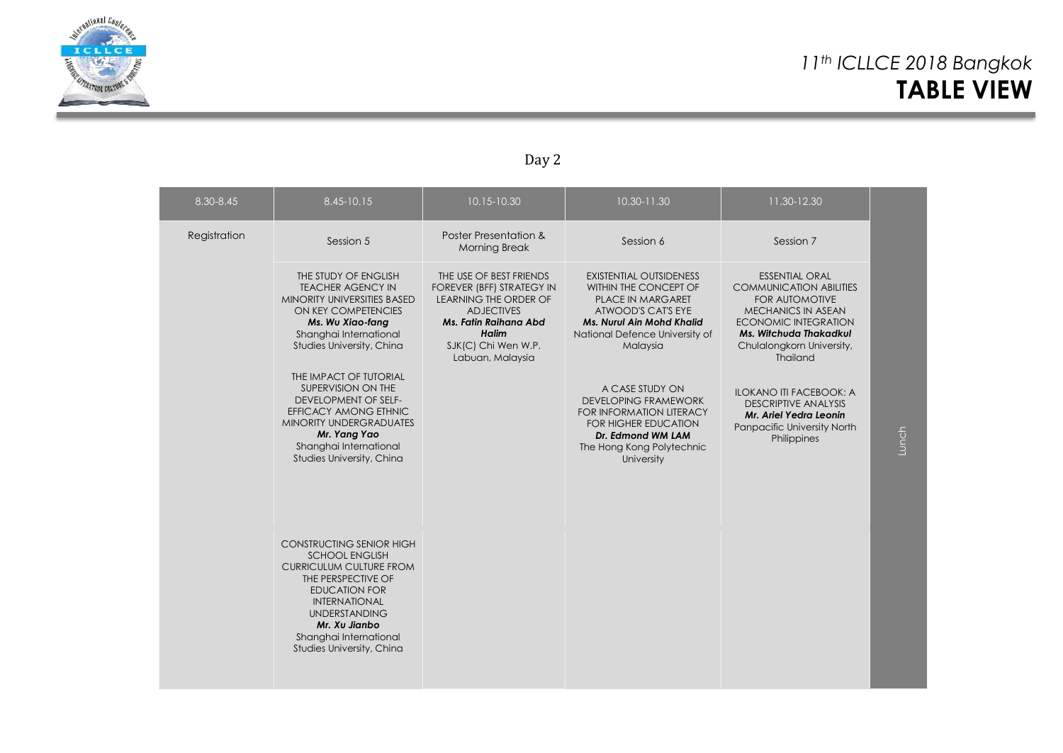

### Day 2

| 8.30-8.45    | $8.45 - 10.15$                                                                                                                                                                                                                                                                                                                                                                                     | 10.15-10.30                                                                                                                                                                            | 10.30-11.30                                                                                                                                                                                                                                                                                                                                                                     | 11.30-12.30                                                                                                                                                                                                                                                                                                                                                     |       |
|--------------|----------------------------------------------------------------------------------------------------------------------------------------------------------------------------------------------------------------------------------------------------------------------------------------------------------------------------------------------------------------------------------------------------|----------------------------------------------------------------------------------------------------------------------------------------------------------------------------------------|---------------------------------------------------------------------------------------------------------------------------------------------------------------------------------------------------------------------------------------------------------------------------------------------------------------------------------------------------------------------------------|-----------------------------------------------------------------------------------------------------------------------------------------------------------------------------------------------------------------------------------------------------------------------------------------------------------------------------------------------------------------|-------|
| Registration | Session 5                                                                                                                                                                                                                                                                                                                                                                                          | Poster Presentation &<br><b>Morning Break</b>                                                                                                                                          | Session 6                                                                                                                                                                                                                                                                                                                                                                       | Session 7                                                                                                                                                                                                                                                                                                                                                       |       |
|              | THE STUDY OF ENGLISH<br><b>TEACHER AGENCY IN</b><br><b>MINORITY UNIVERSITIES BASED</b><br>ON KEY COMPETENCIES<br>Ms. Wu Xiao-fang<br>Shanghai International<br>Studies University, China<br>THE IMPACT OF TUTORIAL<br>SUPERVISION ON THE<br><b>DEVELOPMENT OF SELF-</b><br>EFFICACY AMONG ETHNIC<br>MINORITY UNDERGRADUATES<br>Mr. Yang Yao<br>Shanghai International<br>Studies University, China | THE USE OF BEST FRIENDS<br>FOREVER (BFF) STRATEGY IN<br>LEARNING THE ORDER OF<br><b>ADJECTIVES</b><br>Ms. Fatin Raihana Abd<br><b>Halim</b><br>SJK(C) Chi Wen W.P.<br>Labuan, Malaysia | <b>EXISTENTIAL OUTSIDENESS</b><br>WITHIN THE CONCEPT OF<br><b>PLACE IN MARGARET</b><br>ATWOOD'S CAT'S EYE<br><b>Ms. Nurul Ain Mohd Khalid</b><br>National Defence University of<br>Malaysia<br>A CASE STUDY ON<br><b>DEVELOPING FRAMEWORK</b><br><b>FOR INFORMATION LITERACY</b><br><b>FOR HIGHER EDUCATION</b><br>Dr. Edmond WM LAM<br>The Hong Kong Polytechnic<br>University | <b>ESSENTIAL ORAL</b><br><b>COMMUNICATION ABILITIES</b><br><b>FOR AUTOMOTIVE</b><br><b>MECHANICS IN ASEAN</b><br><b>ECONOMIC INTEGRATION</b><br>Ms. Witchuda Thakadkul<br>Chulalongkorn University,<br>Thailand<br><b>ILOKANO ITI FACEBOOK: A</b><br><b>DESCRIPTIVE ANALYSIS</b><br>Mr. Ariel Yedra Leonin<br><b>Panpacific University North</b><br>Philippines | Lunch |
|              | <b>CONSTRUCTING SENIOR HIGH</b><br><b>SCHOOL ENGLISH</b><br><b>CURRICULUM CULTURE FROM</b><br>THE PERSPECTIVE OF<br><b>EDUCATION FOR</b><br><b>INTERNATIONAL</b><br><b>UNDERSTANDING</b><br>Mr. Xu Jianbo<br>Shanghai International<br>Studies University, China                                                                                                                                   |                                                                                                                                                                                        |                                                                                                                                                                                                                                                                                                                                                                                 |                                                                                                                                                                                                                                                                                                                                                                 |       |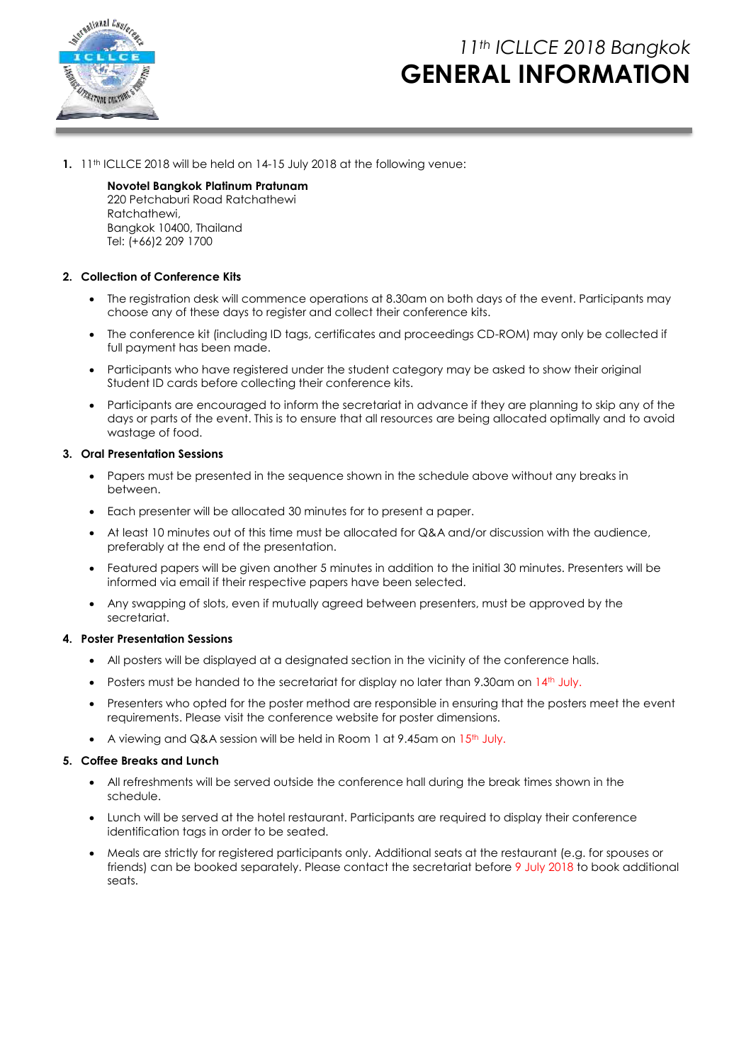

### *11th ICLLCE 2018 Bangkok* **GENERAL INFORMATION**

**1.** 11th ICLLCE 2018 will be held on 14-15 July 2018 at the following venue:

**Novotel Bangkok Platinum Pratunam** 220 Petchaburi Road Ratchathewi Ratchathewi, Bangkok 10400, Thailand Tel: (+66)2 209 1700

#### **2. Collection of Conference Kits**

- The registration desk will commence operations at 8.30am on both days of the event. Participants may choose any of these days to register and collect their conference kits.
- The conference kit (including ID tags, certificates and proceedings CD-ROM) may only be collected if full payment has been made.
- Participants who have registered under the student category may be asked to show their original Student ID cards before collecting their conference kits.
- Participants are encouraged to inform the secretariat in advance if they are planning to skip any of the days or parts of the event. This is to ensure that all resources are being allocated optimally and to avoid wastage of food.

#### **3. Oral Presentation Sessions**

- Papers must be presented in the sequence shown in the schedule above without any breaks in between.
- Each presenter will be allocated 30 minutes for to present a paper.
- At least 10 minutes out of this time must be allocated for Q&A and/or discussion with the audience, preferably at the end of the presentation.
- Featured papers will be given another 5 minutes in addition to the initial 30 minutes. Presenters will be informed via email if their respective papers have been selected.
- Any swapping of slots, even if mutually agreed between presenters, must be approved by the secretariat.

#### **4. Poster Presentation Sessions**

- All posters will be displayed at a designated section in the vicinity of the conference halls.
- Posters must be handed to the secretariat for display no later than 9.30am on  $14<sup>th</sup>$  July.
- Presenters who opted for the poster method are responsible in ensuring that the posters meet the event requirements. Please visit the conference website for poster dimensions.
- A viewing and Q&A session will be held in Room 1 at 9.45am on 15<sup>th</sup> July.

#### **5. Coffee Breaks and Lunch**

- All refreshments will be served outside the conference hall during the break times shown in the schedule.
- Lunch will be served at the hotel restaurant. Participants are required to display their conference identification tags in order to be seated.
- Meals are strictly for registered participants only. Additional seats at the restaurant (e.g. for spouses or friends) can be booked separately. Please contact the secretariat before 9 July 2018 to book additional seats.